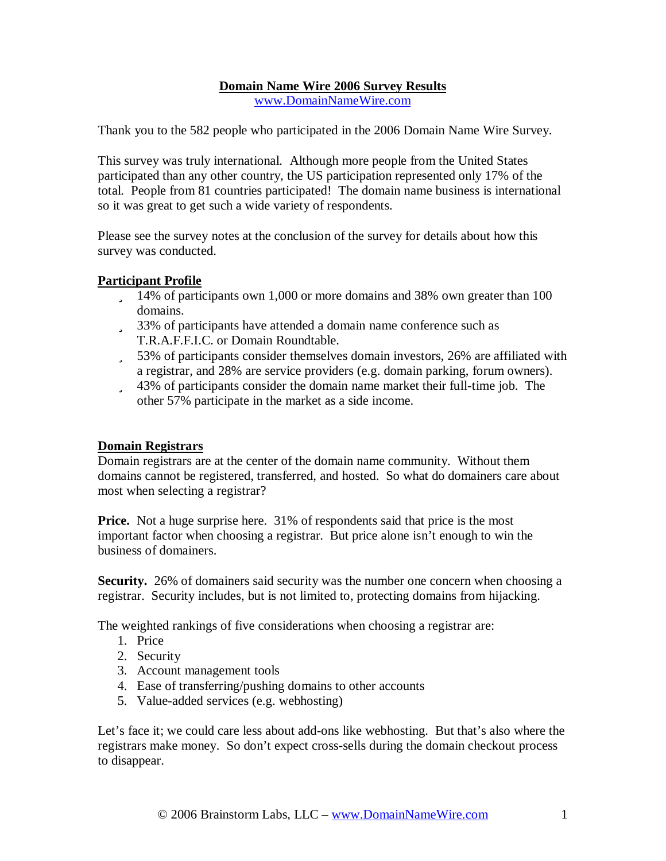# **Domain Name Wire 2006 Survey Results**

[www.DomainNameWire.com](http://www.DomainNameWire.com)

Thank you to the 582 people who participated in the 2006 Domain Name Wire Survey.

This survey was truly international. Although more people from the United States participated than any other country, the US participation represented only 17% of the total. People from 81 countries participated! The domain name business is international so it was great to get such a wide variety of respondents.

Please see the survey notes at the conclusion of the survey for details about how this survey was conducted.

## **Participant Profile**

- ü 14% of participants own 1,000 or more domains and 38% own greater than 100 domains.
- ü 33% of participants have attended a domain name conference such as T.R.A.F.F.I.C. or Domain Roundtable.
- ü 53% of participants consider themselves domain investors, 26% are affiliated with a registrar, and 28% are service providers (e.g. domain parking, forum owners).
- ü 43% of participants consider the domain name market their full-time job. The other 57% participate in the market as a side income.

#### **Domain Registrars**

Domain registrars are at the center of the domain name community. Without them domains cannot be registered, transferred, and hosted. So what do domainers care about most when selecting a registrar?

**Price.** Not a huge surprise here. 31% of respondents said that price is the most important factor when choosing a registrar. But price alone isn't enough to win the business of domainers.

**Security.** 26% of domainers said security was the number one concern when choosing a registrar. Security includes, but is not limited to, protecting domains from hijacking.

The weighted rankings of five considerations when choosing a registrar are:

- 1. Price
- 2. Security
- 3. Account management tools
- 4. Ease of transferring/pushing domains to other accounts
- 5. Value-added services (e.g. webhosting)

Let's face it; we could care less about add-ons like webhosting. But that's also where the registrars make money. So don't expect cross-sells during the domain checkout process to disappear.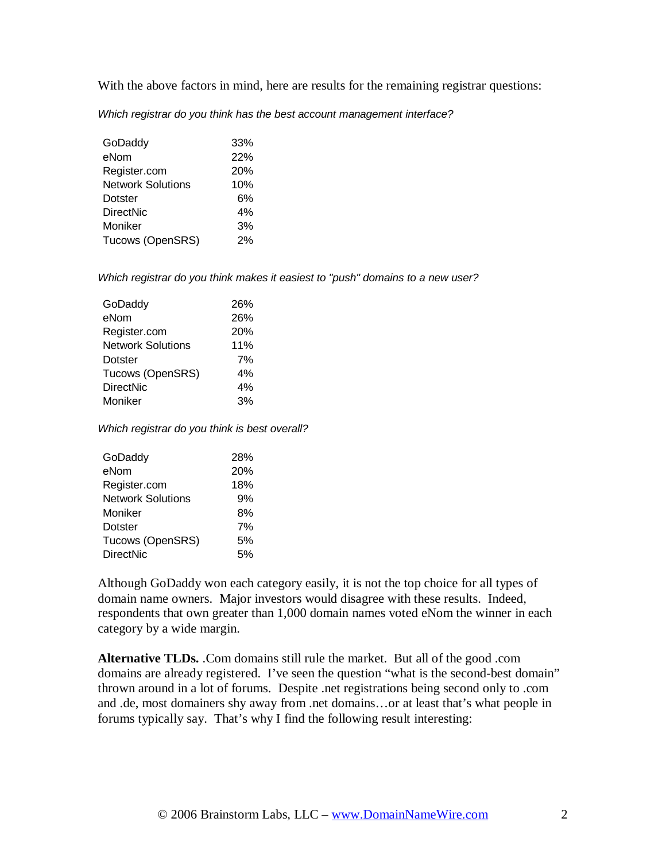With the above factors in mind, here are results for the remaining registrar questions:

*Which registrar do you think has the best account management interface?*

| GoDaddy                  | 33% |
|--------------------------|-----|
| eNom                     | 22% |
| Register.com             | 20% |
| <b>Network Solutions</b> | 10% |
| Dotster                  | 6%  |
| <b>DirectNic</b>         | 4%  |
| Moniker                  | 3%  |
| Tucows (OpenSRS)         | 2%  |

*Which registrar do you think makes it easiest to "push" domains to a new user?* 

| GoDaddy                  | 26% |
|--------------------------|-----|
| eNom                     | 26% |
| Register.com             | 20% |
| <b>Network Solutions</b> | 11% |
| <b>Dotster</b>           | 7%  |
| Tucows (OpenSRS)         | 4%  |
| <b>DirectNic</b>         | 4%  |
| Moniker                  | 3%  |
|                          |     |

*Which registrar do you think is best overall?* 

| GoDaddy                  | 28% |
|--------------------------|-----|
| eNom                     | 20% |
| Register.com             | 18% |
| <b>Network Solutions</b> | 9%  |
| Moniker                  | 8%  |
| Dotster                  | 7%  |
| Tucows (OpenSRS)         | 5%  |
| <b>DirectNic</b>         | .5% |

Although GoDaddy won each category easily, it is not the top choice for all types of domain name owners. Major investors would disagree with these results. Indeed, respondents that own greater than 1,000 domain names voted eNom the winner in each category by a wide margin.

**Alternative TLDs.** .Com domains still rule the market. But all of the good .com domains are already registered. I've seen the question "what is the second-best domain" thrown around in a lot of forums. Despite .net registrations being second only to .com and .de, most domainers shy away from .net domains…or at least that's what people in forums typically say. That's why I find the following result interesting: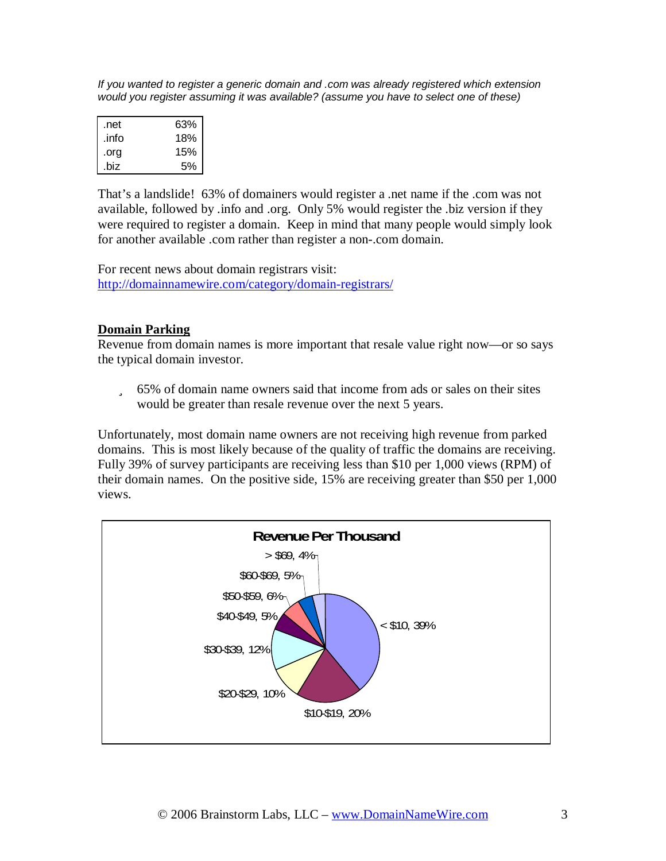*If you wanted to register a generic domain and .com was already registered which extension would you register assuming it was available? (assume you have to select one of these)* 

| .net  | 63% |
|-------|-----|
| .info | 18% |
| .org  | 15% |
| .biz  | 5%  |

That's a landslide! 63% of domainers would register a .net name if the .com was not available, followed by .info and .org. Only 5% would register the .biz version if they were required to register a domain. Keep in mind that many people would simply look for another available .com rather than register a non-.com domain.

For recent news about domain registrars visit: <http://domainnamewire.com/category/domain-registrars/>

### **Domain Parking**

Revenue from domain names is more important that resale value right now—or so says the typical domain investor.

ü 65% of domain name owners said that income from ads or sales on their sites would be greater than resale revenue over the next 5 years.

Unfortunately, most domain name owners are not receiving high revenue from parked domains. This is most likely because of the quality of traffic the domains are receiving. Fully 39% of survey participants are receiving less than \$10 per 1,000 views (RPM) of their domain names. On the positive side, 15% are receiving greater than \$50 per 1,000 views.

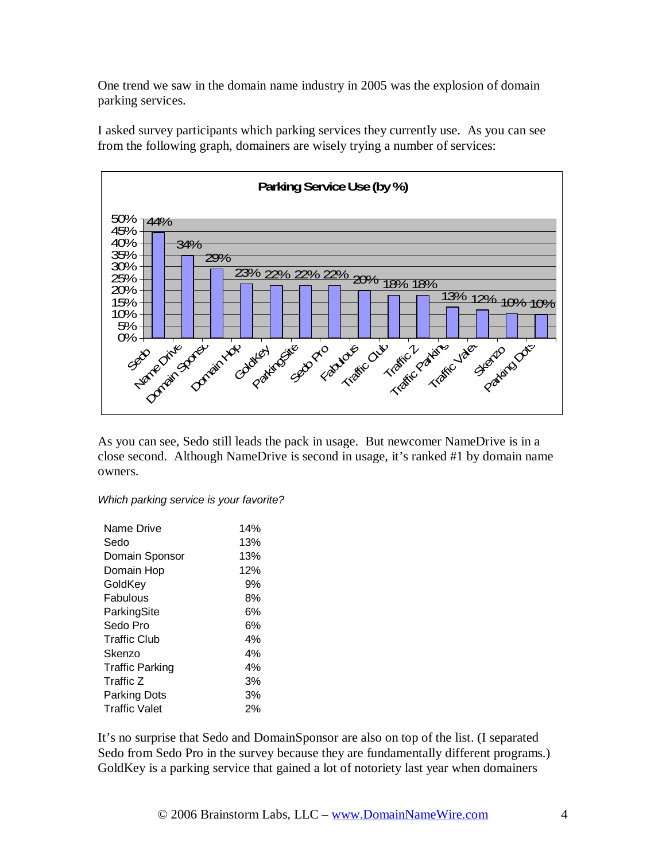One trend we saw in the domain name industry in 2005 was the explosion of domain parking services.

I asked survey participants which parking services they currently use. As you can see from the following graph, domainers are wisely trying a number of services:



As you can see, Sedo still leads the pack in usage. But newcomer NameDrive is in a close second. Although NameDrive is second in usage, it's ranked #1 by domain name owners.

*Which parking service is your favorite?* 

| Name Drive             | 14% |
|------------------------|-----|
| Sedo                   | 13% |
| Domain Sponsor         | 13% |
| Domain Hop             | 12% |
| GoldKey                | 9%  |
| Fabulous               | 8%  |
| ParkingSite            | 6%  |
| Sedo Pro               | 6%  |
| Traffic Club           | 4%  |
| Skenzo                 | 4%  |
| <b>Traffic Parking</b> | 4%  |
| Traffic Z              | 3%  |
| Parking Dots           | 3%  |
| <b>Traffic Valet</b>   | 2%  |

It's no surprise that Sedo and DomainSponsor are also on top of the list. (I separated Sedo from Sedo Pro in the survey because they are fundamentally different programs.) GoldKey is a parking service that gained a lot of notoriety last year when domainers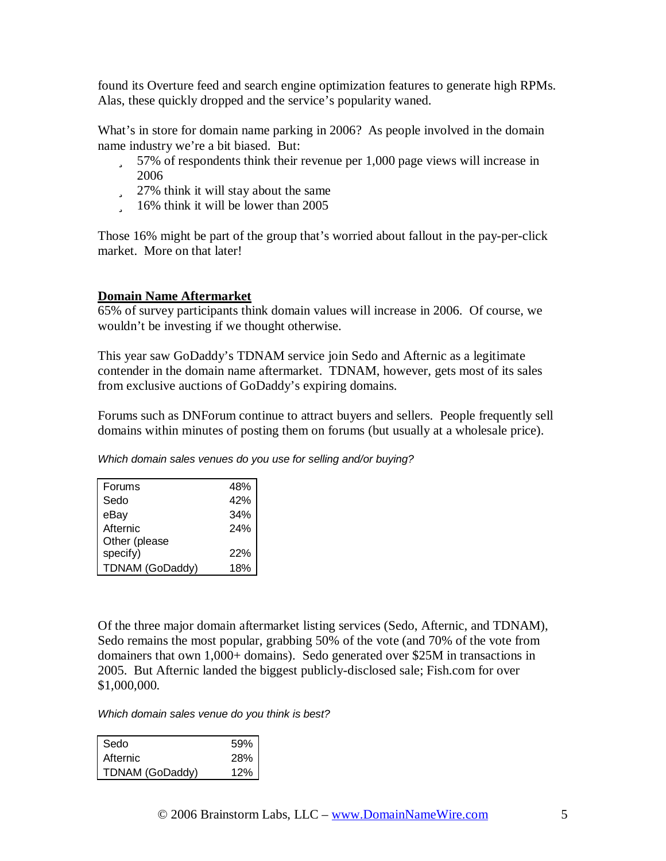found its Overture feed and search engine optimization features to generate high RPMs. Alas, these quickly dropped and the service's popularity waned.

What's in store for domain name parking in 2006? As people involved in the domain name industry we're a bit biased. But:

- ü 57% of respondents think their revenue per 1,000 page views will increase in 2006
- ü 27% think it will stay about the same
- ü 16% think it will be lower than 2005

Those 16% might be part of the group that's worried about fallout in the pay-per-click market. More on that later!

### **Domain Name Aftermarket**

65% of survey participants think domain values will increase in 2006. Of course, we wouldn't be investing if we thought otherwise.

This year saw GoDaddy's TDNAM service join Sedo and Afternic as a legitimate contender in the domain name aftermarket. TDNAM, however, gets most of its sales from exclusive auctions of GoDaddy's expiring domains.

Forums such as DNForum continue to attract buyers and sellers. People frequently sell domains within minutes of posting them on forums (but usually at a wholesale price).

*Which domain sales venues do you use for selling and/or buying?* 

| Forums                 | 48% |
|------------------------|-----|
| Sedo                   | 42% |
| eBay                   | 34% |
| Afternic               | 24% |
| Other (please          |     |
| specify)               | 22% |
| <b>TDNAM (GoDaddy)</b> | 18% |

Of the three major domain aftermarket listing services (Sedo, Afternic, and TDNAM), Sedo remains the most popular, grabbing 50% of the vote (and 70% of the vote from domainers that own 1,000+ domains). Sedo generated over \$25M in transactions in 2005. But Afternic landed the biggest publicly-disclosed sale; Fish.com for over \$1,000,000.

*Which domain sales venue do you think is best?* 

| Sedo            | 59%        |
|-----------------|------------|
| Afternic        | <b>28%</b> |
| TDNAM (GoDaddy) | 12%        |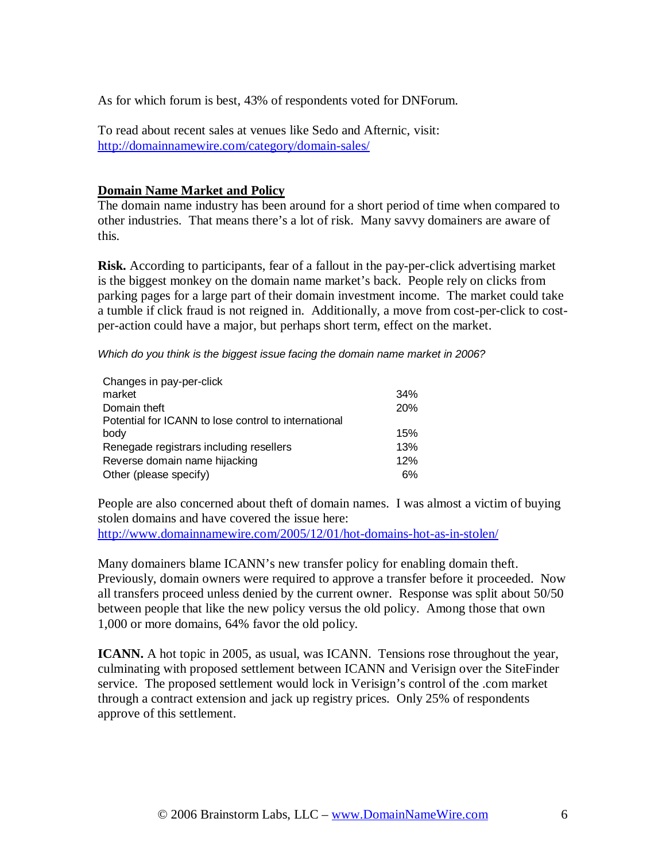As for which forum is best, 43% of respondents voted for DNForum.

To read about recent sales at venues like Sedo and Afternic, visit: <http://domainnamewire.com/category/domain-sales/>

#### **Domain Name Market and Policy**

The domain name industry has been around for a short period of time when compared to other industries. That means there's a lot of risk. Many savvy domainers are aware of this.

**Risk.** According to participants, fear of a fallout in the pay-per-click advertising market is the biggest monkey on the domain name market's back. People rely on clicks from parking pages for a large part of their domain investment income. The market could take a tumble if click fraud is not reigned in. Additionally, a move from cost-per-click to costper-action could have a major, but perhaps short term, effect on the market.

*Which do you think is the biggest issue facing the domain name market in 2006?* 

| Changes in pay-per-click                             |     |
|------------------------------------------------------|-----|
| market                                               | 34% |
| Domain theft                                         | 20% |
| Potential for ICANN to lose control to international |     |
| body                                                 | 15% |
| Renegade registrars including resellers              | 13% |
| Reverse domain name hijacking                        | 12% |
| Other (please specify)                               | 6%  |

People are also concerned about theft of domain names. I was almost a victim of buying stolen domains and have covered the issue here: <http://www.domainnamewire.com/2005/12/01/hot-domains-hot-as-in-stolen/>

Many domainers blame ICANN's new transfer policy for enabling domain theft. Previously, domain owners were required to approve a transfer before it proceeded. Now all transfers proceed unless denied by the current owner. Response was split about 50/50 between people that like the new policy versus the old policy. Among those that own 1,000 or more domains, 64% favor the old policy.

**ICANN.** A hot topic in 2005, as usual, was ICANN. Tensions rose throughout the year, culminating with proposed settlement between ICANN and Verisign over the SiteFinder service. The proposed settlement would lock in Verisign's control of the .com market through a contract extension and jack up registry prices. Only 25% of respondents approve of this settlement.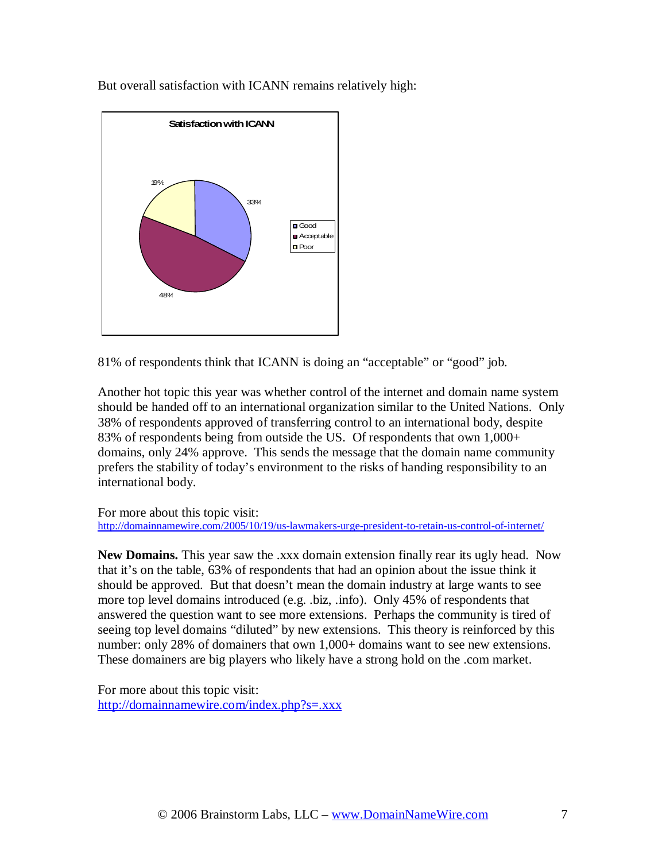But overall satisfaction with ICANN remains relatively high:



81% of respondents think that ICANN is doing an "acceptable" or "good" job.

Another hot topic this year was whether control of the internet and domain name system should be handed off to an international organization similar to the United Nations. Only 38% of respondents approved of transferring control to an international body, despite 83% of respondents being from outside the US. Of respondents that own  $1,000+$ domains, only 24% approve. This sends the message that the domain name community prefers the stability of today's environment to the risks of handing responsibility to an international body.

#### For more about this topic visit:

<http://domainnamewire.com/2005/10/19/us-lawmakers-urge-president-to-retain-us-control-of-internet/>

**New Domains.** This year saw the .xxx domain extension finally rear its ugly head. Now that it's on the table, 63% of respondents that had an opinion about the issue think it should be approved. But that doesn't mean the domain industry at large wants to see more top level domains introduced (e.g. .biz, .info). Only 45% of respondents that answered the question want to see more extensions. Perhaps the community is tired of seeing top level domains "diluted" by new extensions. This theory is reinforced by this number: only 28% of domainers that own 1,000+ domains want to see new extensions. These domainers are big players who likely have a strong hold on the .com market.

For more about this topic visit: <http://domainnamewire.com/index.php?s=.xxx>